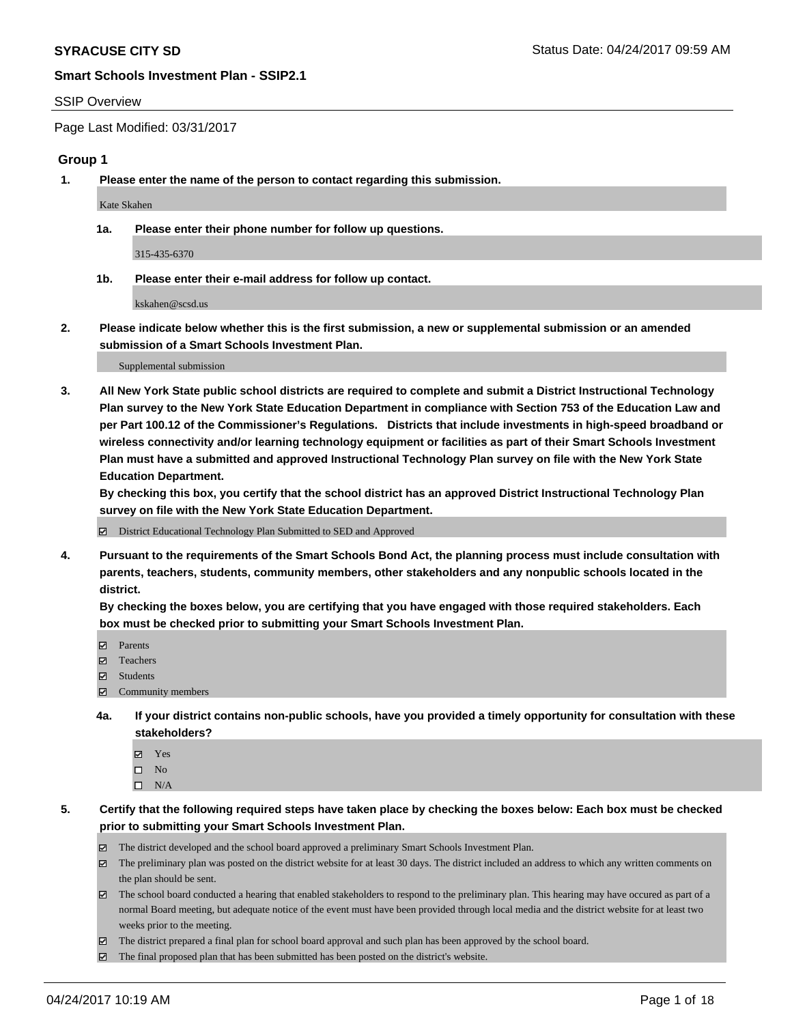#### SSIP Overview

Page Last Modified: 03/31/2017

#### **Group 1**

**1. Please enter the name of the person to contact regarding this submission.**

Kate Skahen

**1a. Please enter their phone number for follow up questions.**

315-435-6370

**1b. Please enter their e-mail address for follow up contact.**

kskahen@scsd.us

**2. Please indicate below whether this is the first submission, a new or supplemental submission or an amended submission of a Smart Schools Investment Plan.**

Supplemental submission

**3. All New York State public school districts are required to complete and submit a District Instructional Technology Plan survey to the New York State Education Department in compliance with Section 753 of the Education Law and per Part 100.12 of the Commissioner's Regulations. Districts that include investments in high-speed broadband or wireless connectivity and/or learning technology equipment or facilities as part of their Smart Schools Investment Plan must have a submitted and approved Instructional Technology Plan survey on file with the New York State Education Department.** 

**By checking this box, you certify that the school district has an approved District Instructional Technology Plan survey on file with the New York State Education Department.**

District Educational Technology Plan Submitted to SED and Approved

**4. Pursuant to the requirements of the Smart Schools Bond Act, the planning process must include consultation with parents, teachers, students, community members, other stakeholders and any nonpublic schools located in the district.** 

**By checking the boxes below, you are certifying that you have engaged with those required stakeholders. Each box must be checked prior to submitting your Smart Schools Investment Plan.**

- **マ** Parents
- □ Teachers
- Students
- $\Xi$  Community members
- **4a. If your district contains non-public schools, have you provided a timely opportunity for consultation with these stakeholders?**
	- Yes
	- $\hfill \square$  No
	- $\square$  N/A
- **5. Certify that the following required steps have taken place by checking the boxes below: Each box must be checked prior to submitting your Smart Schools Investment Plan.**
	- The district developed and the school board approved a preliminary Smart Schools Investment Plan.
	- $\boxtimes$  The preliminary plan was posted on the district website for at least 30 days. The district included an address to which any written comments on the plan should be sent.
	- $\boxtimes$  The school board conducted a hearing that enabled stakeholders to respond to the preliminary plan. This hearing may have occured as part of a normal Board meeting, but adequate notice of the event must have been provided through local media and the district website for at least two weeks prior to the meeting.
	- The district prepared a final plan for school board approval and such plan has been approved by the school board.
	- $\boxtimes$  The final proposed plan that has been submitted has been posted on the district's website.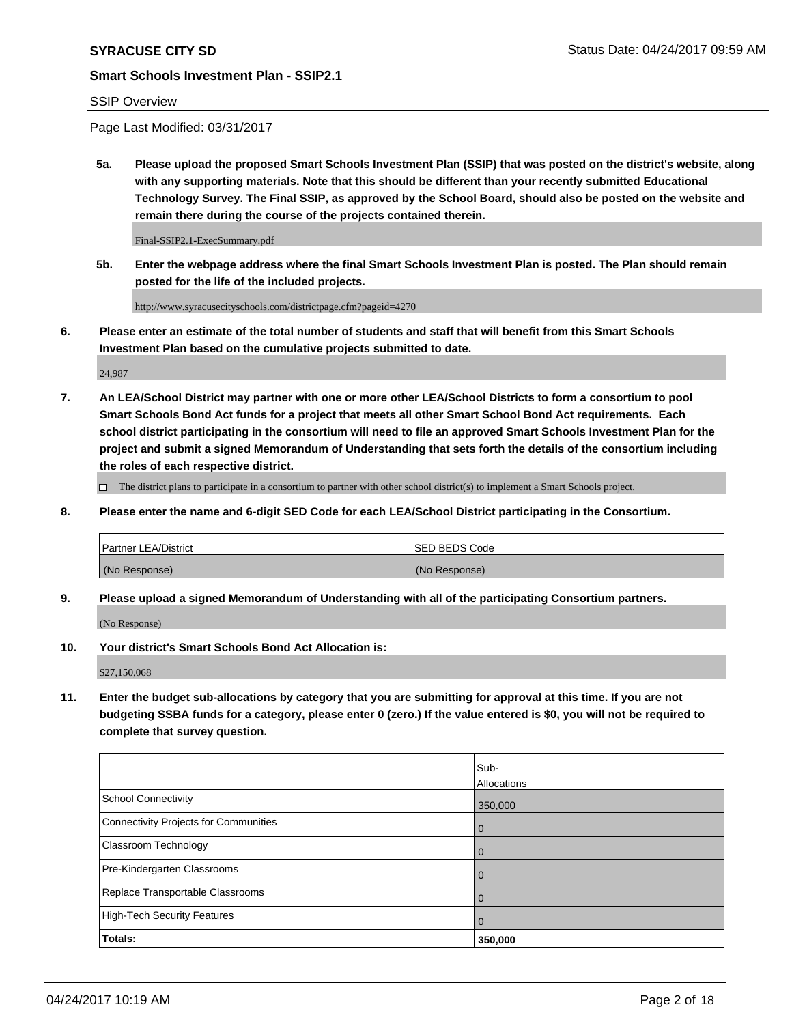### SSIP Overview

Page Last Modified: 03/31/2017

**5a. Please upload the proposed Smart Schools Investment Plan (SSIP) that was posted on the district's website, along with any supporting materials. Note that this should be different than your recently submitted Educational Technology Survey. The Final SSIP, as approved by the School Board, should also be posted on the website and remain there during the course of the projects contained therein.**

Final-SSIP2.1-ExecSummary.pdf

**5b. Enter the webpage address where the final Smart Schools Investment Plan is posted. The Plan should remain posted for the life of the included projects.**

http://www.syracusecityschools.com/districtpage.cfm?pageid=4270

**6. Please enter an estimate of the total number of students and staff that will benefit from this Smart Schools Investment Plan based on the cumulative projects submitted to date.**

24,987

**7. An LEA/School District may partner with one or more other LEA/School Districts to form a consortium to pool Smart Schools Bond Act funds for a project that meets all other Smart School Bond Act requirements. Each school district participating in the consortium will need to file an approved Smart Schools Investment Plan for the project and submit a signed Memorandum of Understanding that sets forth the details of the consortium including the roles of each respective district.**

 $\Box$  The district plans to participate in a consortium to partner with other school district(s) to implement a Smart Schools project.

**8. Please enter the name and 6-digit SED Code for each LEA/School District participating in the Consortium.**

| <b>Partner LEA/District</b> | <b>ISED BEDS Code</b> |
|-----------------------------|-----------------------|
| (No Response)               | (No Response)         |

**9. Please upload a signed Memorandum of Understanding with all of the participating Consortium partners.**

(No Response)

**10. Your district's Smart Schools Bond Act Allocation is:**

\$27,150,068

**11. Enter the budget sub-allocations by category that you are submitting for approval at this time. If you are not budgeting SSBA funds for a category, please enter 0 (zero.) If the value entered is \$0, you will not be required to complete that survey question.**

|                                              | Sub-        |
|----------------------------------------------|-------------|
|                                              | Allocations |
| <b>School Connectivity</b>                   | 350,000     |
| <b>Connectivity Projects for Communities</b> | 0           |
| Classroom Technology                         | 0           |
| Pre-Kindergarten Classrooms                  | 0           |
| Replace Transportable Classrooms             | 0           |
| <b>High-Tech Security Features</b>           | 0           |
| Totals:                                      | 350,000     |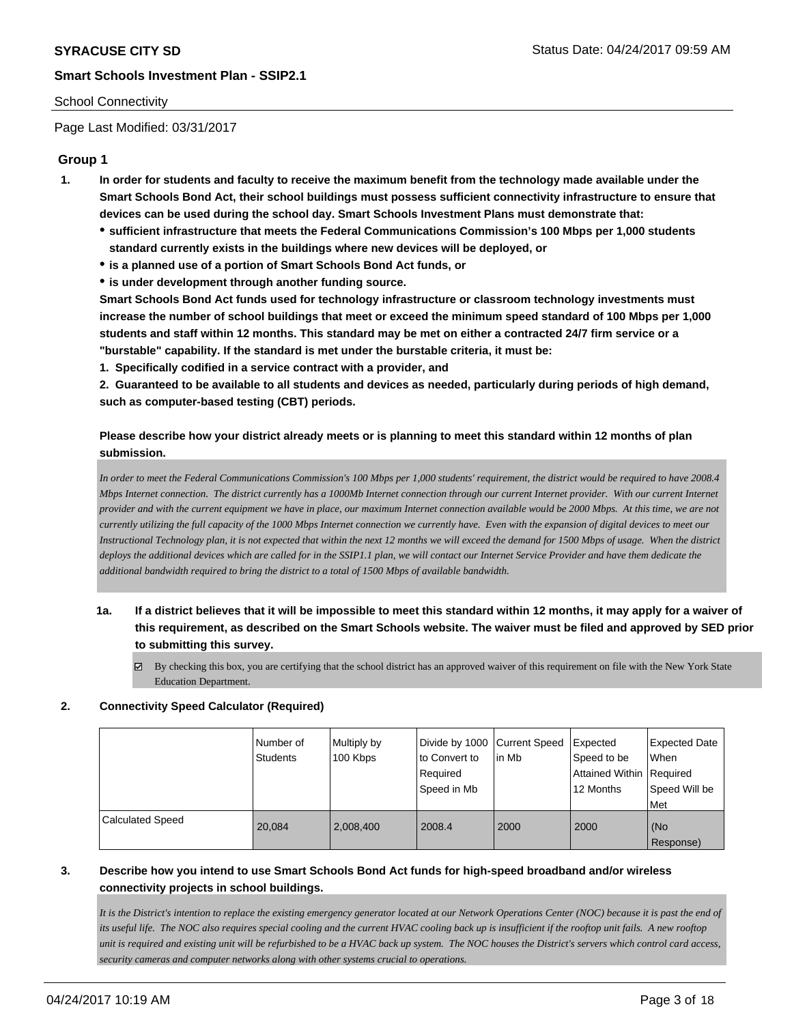### School Connectivity

Page Last Modified: 03/31/2017

# **Group 1**

- **1. In order for students and faculty to receive the maximum benefit from the technology made available under the Smart Schools Bond Act, their school buildings must possess sufficient connectivity infrastructure to ensure that devices can be used during the school day. Smart Schools Investment Plans must demonstrate that:**
	- **sufficient infrastructure that meets the Federal Communications Commission's 100 Mbps per 1,000 students standard currently exists in the buildings where new devices will be deployed, or**
	- **is a planned use of a portion of Smart Schools Bond Act funds, or**
	- **is under development through another funding source.**

**Smart Schools Bond Act funds used for technology infrastructure or classroom technology investments must increase the number of school buildings that meet or exceed the minimum speed standard of 100 Mbps per 1,000 students and staff within 12 months. This standard may be met on either a contracted 24/7 firm service or a "burstable" capability. If the standard is met under the burstable criteria, it must be:**

**1. Specifically codified in a service contract with a provider, and**

**2. Guaranteed to be available to all students and devices as needed, particularly during periods of high demand, such as computer-based testing (CBT) periods.**

# **Please describe how your district already meets or is planning to meet this standard within 12 months of plan submission.**

*In order to meet the Federal Communications Commission's 100 Mbps per 1,000 students' requirement, the district would be required to have 2008.4 Mbps Internet connection. The district currently has a 1000Mb Internet connection through our current Internet provider. With our current Internet provider and with the current equipment we have in place, our maximum Internet connection available would be 2000 Mbps. At this time, we are not currently utilizing the full capacity of the 1000 Mbps Internet connection we currently have. Even with the expansion of digital devices to meet our Instructional Technology plan, it is not expected that within the next 12 months we will exceed the demand for 1500 Mbps of usage. When the district deploys the additional devices which are called for in the SSIP1.1 plan, we will contact our Internet Service Provider and have them dedicate the additional bandwidth required to bring the district to a total of 1500 Mbps of available bandwidth.* 

# **1a. If a district believes that it will be impossible to meet this standard within 12 months, it may apply for a waiver of this requirement, as described on the Smart Schools website. The waiver must be filed and approved by SED prior to submitting this survey.**

By checking this box, you are certifying that the school district has an approved waiver of this requirement on file with the New York State Education Department.

#### **2. Connectivity Speed Calculator (Required)**

|                         | Number of<br>Students | Multiply by<br>100 Kbps | Divide by 1000 Current Speed<br>to Convert to<br>Required<br>Speed in Mb | l in Mb | Expected<br>Speed to be<br>Attained Within Required<br>12 Months | <b>Expected Date</b><br>When<br>Speed Will be<br><b>Met</b> |
|-------------------------|-----------------------|-------------------------|--------------------------------------------------------------------------|---------|------------------------------------------------------------------|-------------------------------------------------------------|
| <b>Calculated Speed</b> | 20,084                | 2,008,400               | 2008.4                                                                   | 2000    | 2000                                                             | (No<br>Response)                                            |

# **3. Describe how you intend to use Smart Schools Bond Act funds for high-speed broadband and/or wireless connectivity projects in school buildings.**

*It is the District's intention to replace the existing emergency generator located at our Network Operations Center (NOC) because it is past the end of its useful life. The NOC also requires special cooling and the current HVAC cooling back up is insufficient if the rooftop unit fails. A new rooftop unit is required and existing unit will be refurbished to be a HVAC back up system. The NOC houses the District's servers which control card access, security cameras and computer networks along with other systems crucial to operations.*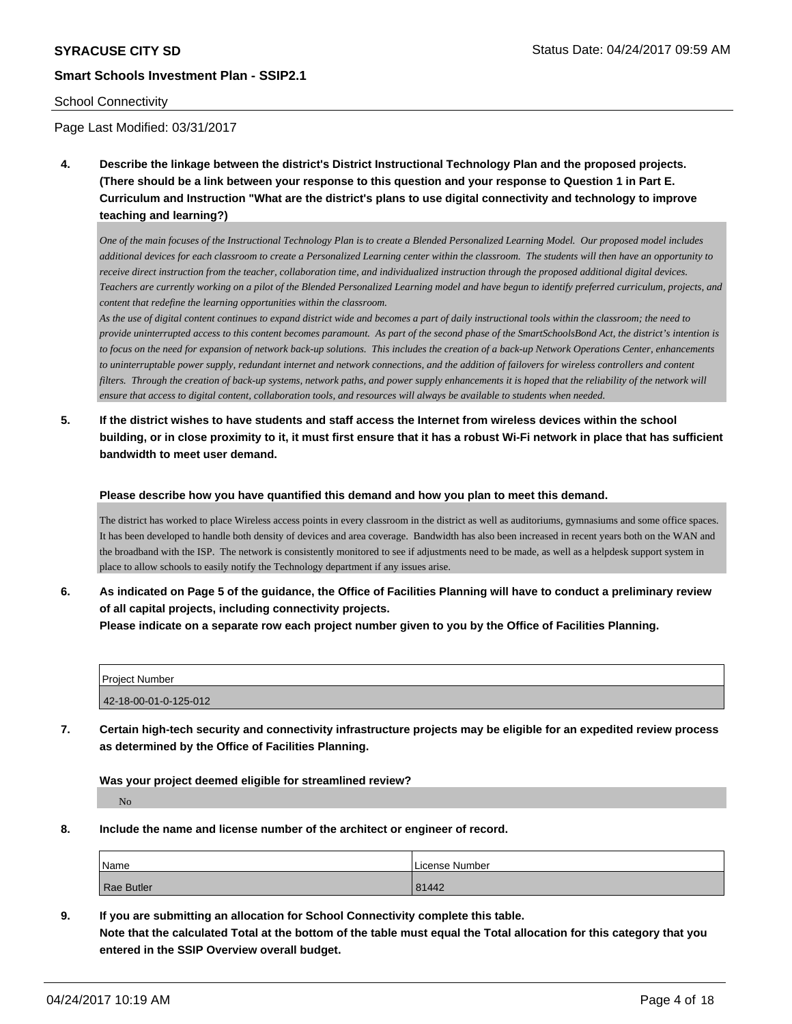### School Connectivity

Page Last Modified: 03/31/2017

**4. Describe the linkage between the district's District Instructional Technology Plan and the proposed projects. (There should be a link between your response to this question and your response to Question 1 in Part E. Curriculum and Instruction "What are the district's plans to use digital connectivity and technology to improve teaching and learning?)**

*One of the main focuses of the Instructional Technology Plan is to create a Blended Personalized Learning Model. Our proposed model includes additional devices for each classroom to create a Personalized Learning center within the classroom. The students will then have an opportunity to receive direct instruction from the teacher, collaboration time, and individualized instruction through the proposed additional digital devices. Teachers are currently working on a pilot of the Blended Personalized Learning model and have begun to identify preferred curriculum, projects, and content that redefine the learning opportunities within the classroom.*

*As the use of digital content continues to expand district wide and becomes a part of daily instructional tools within the classroom; the need to provide uninterrupted access to this content becomes paramount. As part of the second phase of the SmartSchoolsBond Act, the district's intention is to focus on the need for expansion of network back-up solutions. This includes the creation of a back-up Network Operations Center, enhancements to uninterruptable power supply, redundant internet and network connections, and the addition of failovers for wireless controllers and content filters. Through the creation of back-up systems, network paths, and power supply enhancements it is hoped that the reliability of the network will ensure that access to digital content, collaboration tools, and resources will always be available to students when needed.*

**5. If the district wishes to have students and staff access the Internet from wireless devices within the school building, or in close proximity to it, it must first ensure that it has a robust Wi-Fi network in place that has sufficient bandwidth to meet user demand.**

**Please describe how you have quantified this demand and how you plan to meet this demand.**

The district has worked to place Wireless access points in every classroom in the district as well as auditoriums, gymnasiums and some office spaces. It has been developed to handle both density of devices and area coverage. Bandwidth has also been increased in recent years both on the WAN and the broadband with the ISP. The network is consistently monitored to see if adjustments need to be made, as well as a helpdesk support system in place to allow schools to easily notify the Technology department if any issues arise.

**6. As indicated on Page 5 of the guidance, the Office of Facilities Planning will have to conduct a preliminary review of all capital projects, including connectivity projects. Please indicate on a separate row each project number given to you by the Office of Facilities Planning.**

| l Proiect Number      |  |
|-----------------------|--|
| 42-18-00-01-0-125-012 |  |

**7. Certain high-tech security and connectivity infrastructure projects may be eligible for an expedited review process as determined by the Office of Facilities Planning.**

**Was your project deemed eligible for streamlined review?**

No

**8. Include the name and license number of the architect or engineer of record.**

| Name       | License Number |
|------------|----------------|
| Rae Butler | 81442          |

**9. If you are submitting an allocation for School Connectivity complete this table. Note that the calculated Total at the bottom of the table must equal the Total allocation for this category that you entered in the SSIP Overview overall budget.**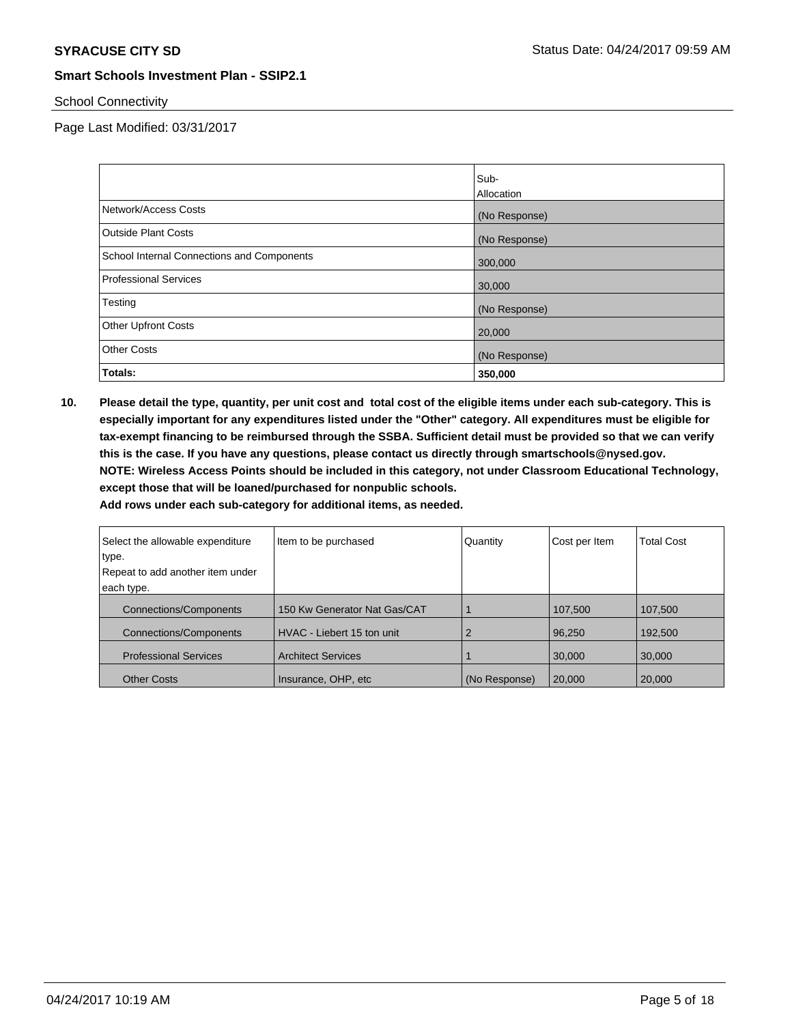# School Connectivity

Page Last Modified: 03/31/2017

|                                            | Sub-          |
|--------------------------------------------|---------------|
|                                            | Allocation    |
| Network/Access Costs                       | (No Response) |
| <b>Outside Plant Costs</b>                 | (No Response) |
| School Internal Connections and Components | 300,000       |
| <b>Professional Services</b>               | 30,000        |
| Testing                                    | (No Response) |
| <b>Other Upfront Costs</b>                 | 20,000        |
| <b>Other Costs</b>                         | (No Response) |
| Totals:                                    | 350,000       |

**10. Please detail the type, quantity, per unit cost and total cost of the eligible items under each sub-category. This is especially important for any expenditures listed under the "Other" category. All expenditures must be eligible for tax-exempt financing to be reimbursed through the SSBA. Sufficient detail must be provided so that we can verify this is the case. If you have any questions, please contact us directly through smartschools@nysed.gov. NOTE: Wireless Access Points should be included in this category, not under Classroom Educational Technology, except those that will be loaned/purchased for nonpublic schools.**

| Select the allowable expenditure | Item to be purchased         | Quantity      | Cost per Item | <b>Total Cost</b> |
|----------------------------------|------------------------------|---------------|---------------|-------------------|
| type.                            |                              |               |               |                   |
| Repeat to add another item under |                              |               |               |                   |
| each type.                       |                              |               |               |                   |
| <b>Connections/Components</b>    | 150 Kw Generator Nat Gas/CAT |               | 107,500       | 107,500           |
| <b>Connections/Components</b>    | HVAC - Liebert 15 ton unit   |               | 96,250        | 192,500           |
| <b>Professional Services</b>     | <b>Architect Services</b>    |               | 30,000        | 30,000            |
| <b>Other Costs</b>               | Insurance, OHP, etc          | (No Response) | 20,000        | 20,000            |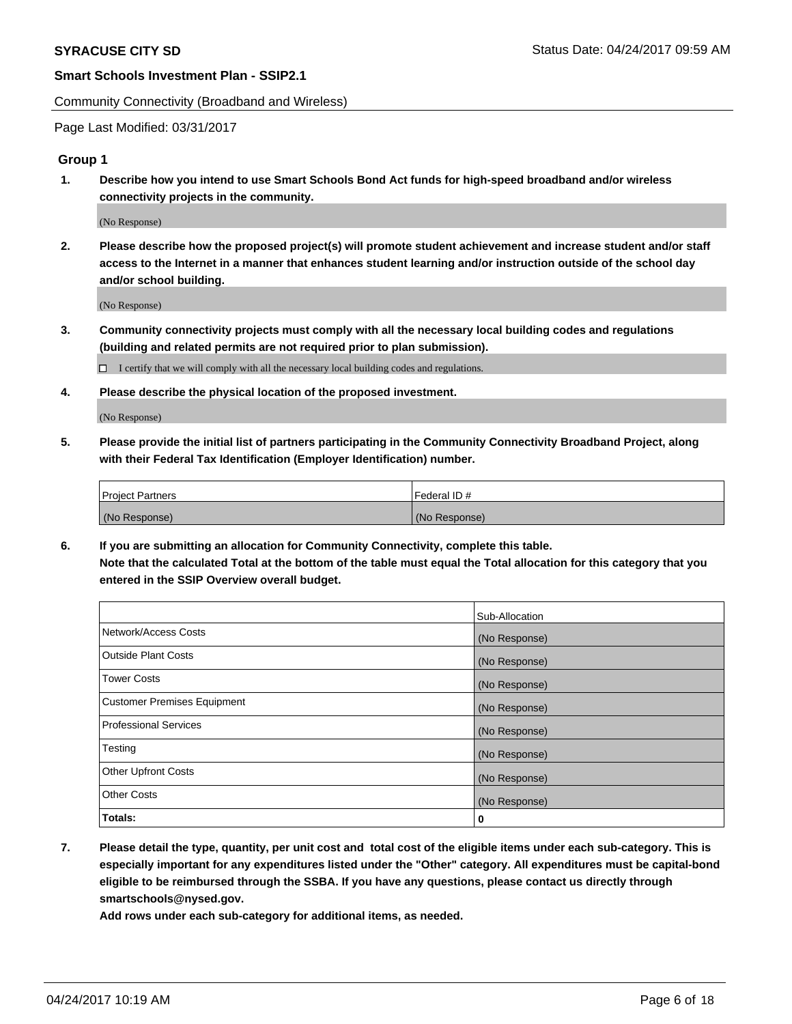Community Connectivity (Broadband and Wireless)

Page Last Modified: 03/31/2017

### **Group 1**

**1. Describe how you intend to use Smart Schools Bond Act funds for high-speed broadband and/or wireless connectivity projects in the community.**

(No Response)

**2. Please describe how the proposed project(s) will promote student achievement and increase student and/or staff access to the Internet in a manner that enhances student learning and/or instruction outside of the school day and/or school building.**

(No Response)

**3. Community connectivity projects must comply with all the necessary local building codes and regulations (building and related permits are not required prior to plan submission).**

 $\Box$  I certify that we will comply with all the necessary local building codes and regulations.

**4. Please describe the physical location of the proposed investment.**

(No Response)

**5. Please provide the initial list of partners participating in the Community Connectivity Broadband Project, along with their Federal Tax Identification (Employer Identification) number.**

| <b>Project Partners</b> | Federal ID#     |
|-------------------------|-----------------|
| (No Response)           | l (No Response) |

**6. If you are submitting an allocation for Community Connectivity, complete this table. Note that the calculated Total at the bottom of the table must equal the Total allocation for this category that you entered in the SSIP Overview overall budget.**

|                                    | Sub-Allocation |
|------------------------------------|----------------|
| Network/Access Costs               | (No Response)  |
| Outside Plant Costs                | (No Response)  |
| <b>Tower Costs</b>                 | (No Response)  |
| <b>Customer Premises Equipment</b> | (No Response)  |
| <b>Professional Services</b>       | (No Response)  |
| Testing                            | (No Response)  |
| <b>Other Upfront Costs</b>         | (No Response)  |
| <b>Other Costs</b>                 | (No Response)  |
| Totals:                            | 0              |

**7. Please detail the type, quantity, per unit cost and total cost of the eligible items under each sub-category. This is especially important for any expenditures listed under the "Other" category. All expenditures must be capital-bond eligible to be reimbursed through the SSBA. If you have any questions, please contact us directly through smartschools@nysed.gov.**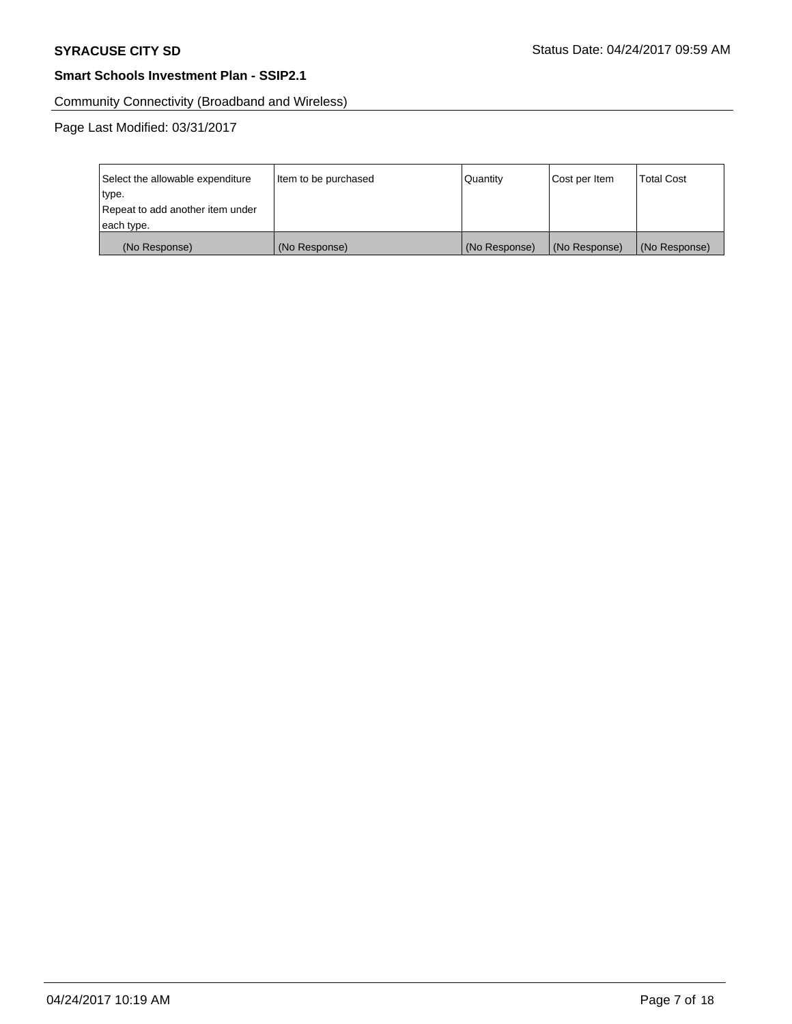Community Connectivity (Broadband and Wireless)

Page Last Modified: 03/31/2017

| Select the allowable expenditure | Item to be purchased | Quantity      | Cost per Item | <b>Total Cost</b> |
|----------------------------------|----------------------|---------------|---------------|-------------------|
| type.                            |                      |               |               |                   |
| Repeat to add another item under |                      |               |               |                   |
| each type.                       |                      |               |               |                   |
| (No Response)                    | (No Response)        | (No Response) | (No Response) | (No Response)     |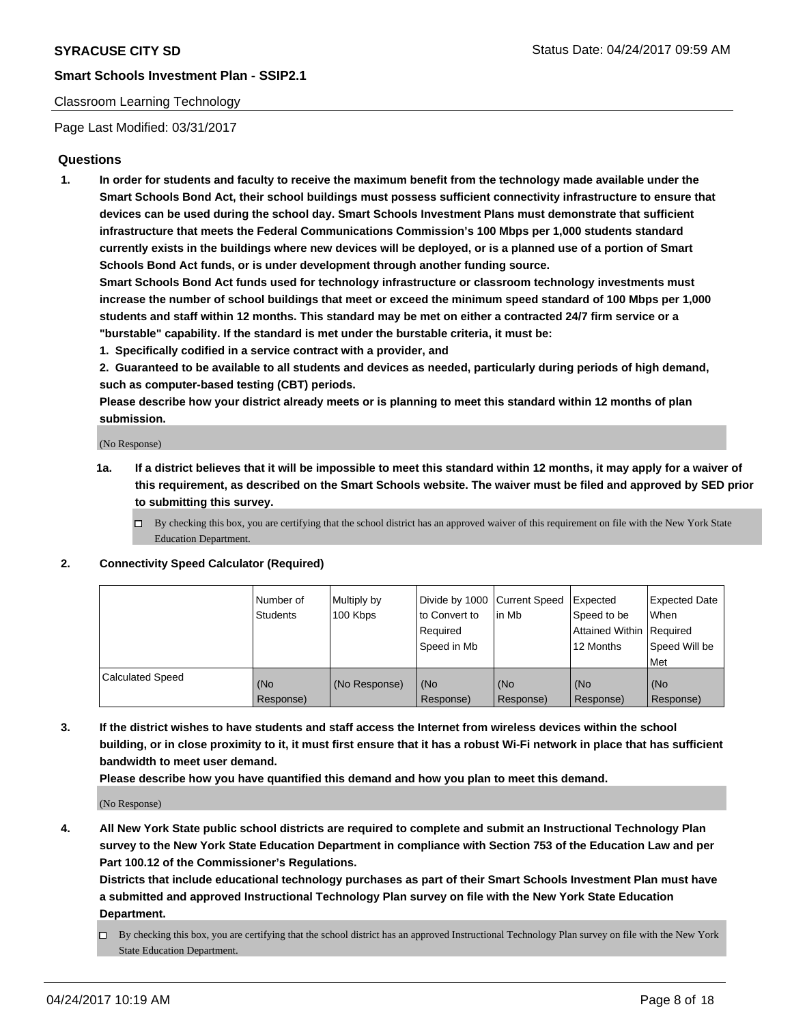### Classroom Learning Technology

Page Last Modified: 03/31/2017

# **Questions**

**1. In order for students and faculty to receive the maximum benefit from the technology made available under the Smart Schools Bond Act, their school buildings must possess sufficient connectivity infrastructure to ensure that devices can be used during the school day. Smart Schools Investment Plans must demonstrate that sufficient infrastructure that meets the Federal Communications Commission's 100 Mbps per 1,000 students standard currently exists in the buildings where new devices will be deployed, or is a planned use of a portion of Smart Schools Bond Act funds, or is under development through another funding source.**

**Smart Schools Bond Act funds used for technology infrastructure or classroom technology investments must increase the number of school buildings that meet or exceed the minimum speed standard of 100 Mbps per 1,000 students and staff within 12 months. This standard may be met on either a contracted 24/7 firm service or a "burstable" capability. If the standard is met under the burstable criteria, it must be:**

- **1. Specifically codified in a service contract with a provider, and**
- **2. Guaranteed to be available to all students and devices as needed, particularly during periods of high demand, such as computer-based testing (CBT) periods.**

**Please describe how your district already meets or is planning to meet this standard within 12 months of plan submission.**

(No Response)

- **1a. If a district believes that it will be impossible to meet this standard within 12 months, it may apply for a waiver of this requirement, as described on the Smart Schools website. The waiver must be filed and approved by SED prior to submitting this survey.**
	- $\Box$  By checking this box, you are certifying that the school district has an approved waiver of this requirement on file with the New York State Education Department.

#### **2. Connectivity Speed Calculator (Required)**

|                         | l Number of<br>Students | Multiply by<br>100 Kbps | Divide by 1000   Current Speed<br>to Convert to<br>Required<br>Speed in Mb | lin Mb           | Expected<br>Speed to be<br>Attained Within Required<br>12 Months | <b>Expected Date</b><br>When<br>Speed Will be<br>Met |
|-------------------------|-------------------------|-------------------------|----------------------------------------------------------------------------|------------------|------------------------------------------------------------------|------------------------------------------------------|
| <b>Calculated Speed</b> | (No<br>Response)        | (No Response)           | (No<br>Response)                                                           | (No<br>Response) | (No<br>Response)                                                 | (No<br>Response)                                     |

**3. If the district wishes to have students and staff access the Internet from wireless devices within the school building, or in close proximity to it, it must first ensure that it has a robust Wi-Fi network in place that has sufficient bandwidth to meet user demand.**

**Please describe how you have quantified this demand and how you plan to meet this demand.**

(No Response)

**4. All New York State public school districts are required to complete and submit an Instructional Technology Plan survey to the New York State Education Department in compliance with Section 753 of the Education Law and per Part 100.12 of the Commissioner's Regulations.**

**Districts that include educational technology purchases as part of their Smart Schools Investment Plan must have a submitted and approved Instructional Technology Plan survey on file with the New York State Education Department.**

 $\Box$  By checking this box, you are certifying that the school district has an approved Instructional Technology Plan survey on file with the New York State Education Department.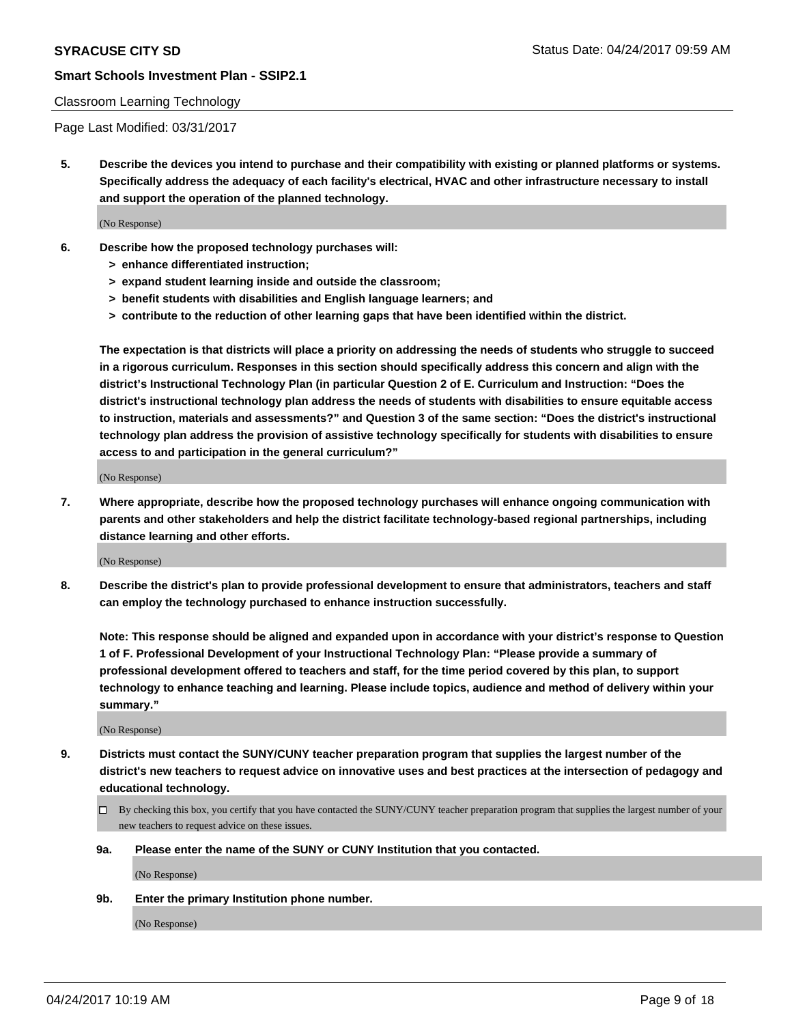#### Classroom Learning Technology

Page Last Modified: 03/31/2017

**5. Describe the devices you intend to purchase and their compatibility with existing or planned platforms or systems. Specifically address the adequacy of each facility's electrical, HVAC and other infrastructure necessary to install and support the operation of the planned technology.**

(No Response)

- **6. Describe how the proposed technology purchases will:**
	- **> enhance differentiated instruction;**
	- **> expand student learning inside and outside the classroom;**
	- **> benefit students with disabilities and English language learners; and**
	- **> contribute to the reduction of other learning gaps that have been identified within the district.**

**The expectation is that districts will place a priority on addressing the needs of students who struggle to succeed in a rigorous curriculum. Responses in this section should specifically address this concern and align with the district's Instructional Technology Plan (in particular Question 2 of E. Curriculum and Instruction: "Does the district's instructional technology plan address the needs of students with disabilities to ensure equitable access to instruction, materials and assessments?" and Question 3 of the same section: "Does the district's instructional technology plan address the provision of assistive technology specifically for students with disabilities to ensure access to and participation in the general curriculum?"**

(No Response)

**7. Where appropriate, describe how the proposed technology purchases will enhance ongoing communication with parents and other stakeholders and help the district facilitate technology-based regional partnerships, including distance learning and other efforts.**

(No Response)

**8. Describe the district's plan to provide professional development to ensure that administrators, teachers and staff can employ the technology purchased to enhance instruction successfully.**

**Note: This response should be aligned and expanded upon in accordance with your district's response to Question 1 of F. Professional Development of your Instructional Technology Plan: "Please provide a summary of professional development offered to teachers and staff, for the time period covered by this plan, to support technology to enhance teaching and learning. Please include topics, audience and method of delivery within your summary."**

(No Response)

- **9. Districts must contact the SUNY/CUNY teacher preparation program that supplies the largest number of the district's new teachers to request advice on innovative uses and best practices at the intersection of pedagogy and educational technology.**
	- By checking this box, you certify that you have contacted the SUNY/CUNY teacher preparation program that supplies the largest number of your new teachers to request advice on these issues.
	- **9a. Please enter the name of the SUNY or CUNY Institution that you contacted.**

(No Response)

**9b. Enter the primary Institution phone number.**

(No Response)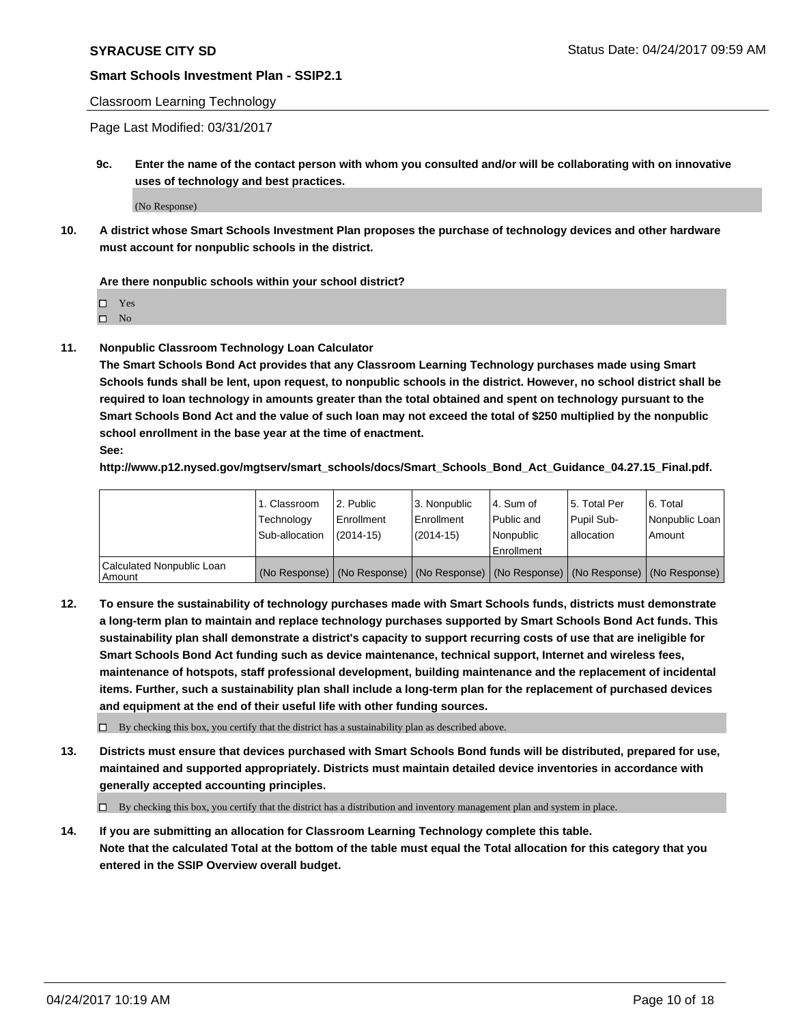# Classroom Learning Technology

Page Last Modified: 03/31/2017

**9c. Enter the name of the contact person with whom you consulted and/or will be collaborating with on innovative uses of technology and best practices.**

(No Response)

**10. A district whose Smart Schools Investment Plan proposes the purchase of technology devices and other hardware must account for nonpublic schools in the district.**

**Are there nonpublic schools within your school district?**

Yes

 $\square$  No

**11. Nonpublic Classroom Technology Loan Calculator**

**The Smart Schools Bond Act provides that any Classroom Learning Technology purchases made using Smart Schools funds shall be lent, upon request, to nonpublic schools in the district. However, no school district shall be required to loan technology in amounts greater than the total obtained and spent on technology pursuant to the Smart Schools Bond Act and the value of such loan may not exceed the total of \$250 multiplied by the nonpublic school enrollment in the base year at the time of enactment.**

**See:**

**http://www.p12.nysed.gov/mgtserv/smart\_schools/docs/Smart\_Schools\_Bond\_Act\_Guidance\_04.27.15\_Final.pdf.**

|                                       | 1. Classroom<br>Technology | l 2. Public<br>Enrollment | 3. Nonpublic<br>Enrollment | l 4. Sum of<br>Public and | 15. Total Per<br>Pupil Sub- | 6. Total<br>Nonpublic Loan                                                                    |
|---------------------------------------|----------------------------|---------------------------|----------------------------|---------------------------|-----------------------------|-----------------------------------------------------------------------------------------------|
|                                       | Sub-allocation             | $(2014-15)$               | $(2014-15)$                | l Nonpublic               | allocation                  | Amount                                                                                        |
|                                       |                            |                           |                            | Enrollment                |                             |                                                                                               |
| Calculated Nonpublic Loan<br>  Amount |                            |                           |                            |                           |                             | (No Response)   (No Response)   (No Response)   (No Response)   (No Response)   (No Response) |

**12. To ensure the sustainability of technology purchases made with Smart Schools funds, districts must demonstrate a long-term plan to maintain and replace technology purchases supported by Smart Schools Bond Act funds. This sustainability plan shall demonstrate a district's capacity to support recurring costs of use that are ineligible for Smart Schools Bond Act funding such as device maintenance, technical support, Internet and wireless fees, maintenance of hotspots, staff professional development, building maintenance and the replacement of incidental items. Further, such a sustainability plan shall include a long-term plan for the replacement of purchased devices and equipment at the end of their useful life with other funding sources.**

 $\Box$  By checking this box, you certify that the district has a sustainability plan as described above.

**13. Districts must ensure that devices purchased with Smart Schools Bond funds will be distributed, prepared for use, maintained and supported appropriately. Districts must maintain detailed device inventories in accordance with generally accepted accounting principles.**

By checking this box, you certify that the district has a distribution and inventory management plan and system in place.

**14. If you are submitting an allocation for Classroom Learning Technology complete this table. Note that the calculated Total at the bottom of the table must equal the Total allocation for this category that you entered in the SSIP Overview overall budget.**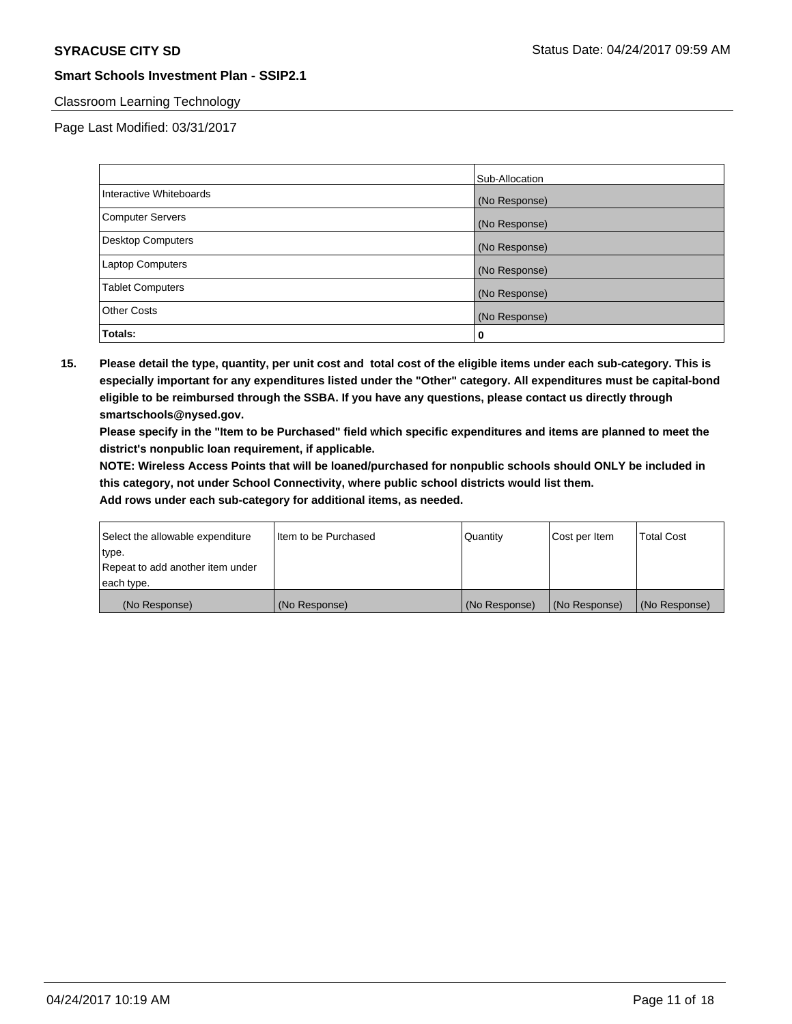# Classroom Learning Technology

Page Last Modified: 03/31/2017

|                          | Sub-Allocation |
|--------------------------|----------------|
| Interactive Whiteboards  | (No Response)  |
| Computer Servers         | (No Response)  |
| <b>Desktop Computers</b> | (No Response)  |
| <b>Laptop Computers</b>  | (No Response)  |
| <b>Tablet Computers</b>  | (No Response)  |
| <b>Other Costs</b>       | (No Response)  |
| Totals:                  | 0              |

**15. Please detail the type, quantity, per unit cost and total cost of the eligible items under each sub-category. This is especially important for any expenditures listed under the "Other" category. All expenditures must be capital-bond eligible to be reimbursed through the SSBA. If you have any questions, please contact us directly through smartschools@nysed.gov.**

**Please specify in the "Item to be Purchased" field which specific expenditures and items are planned to meet the district's nonpublic loan requirement, if applicable.**

**NOTE: Wireless Access Points that will be loaned/purchased for nonpublic schools should ONLY be included in this category, not under School Connectivity, where public school districts would list them.**

| (No Response)                    | (No Response)        | (No Response) | (No Response) | (No Response)     |
|----------------------------------|----------------------|---------------|---------------|-------------------|
| each type.                       |                      |               |               |                   |
| Repeat to add another item under |                      |               |               |                   |
| ∣type.                           |                      |               |               |                   |
| Select the allowable expenditure | Item to be Purchased | Quantity      | Cost per Item | <b>Total Cost</b> |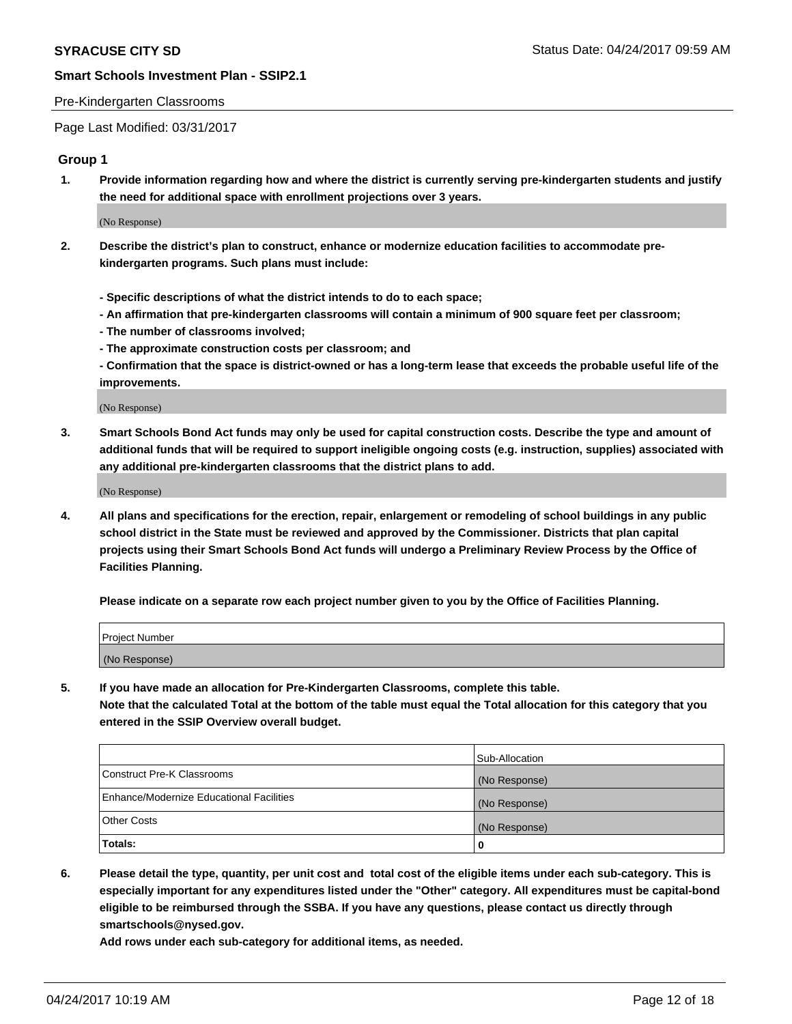#### Pre-Kindergarten Classrooms

Page Last Modified: 03/31/2017

# **Group 1**

**1. Provide information regarding how and where the district is currently serving pre-kindergarten students and justify the need for additional space with enrollment projections over 3 years.**

(No Response)

- **2. Describe the district's plan to construct, enhance or modernize education facilities to accommodate prekindergarten programs. Such plans must include:**
	- **Specific descriptions of what the district intends to do to each space;**
	- **An affirmation that pre-kindergarten classrooms will contain a minimum of 900 square feet per classroom;**
	- **The number of classrooms involved;**
	- **The approximate construction costs per classroom; and**
	- **Confirmation that the space is district-owned or has a long-term lease that exceeds the probable useful life of the improvements.**

(No Response)

**3. Smart Schools Bond Act funds may only be used for capital construction costs. Describe the type and amount of additional funds that will be required to support ineligible ongoing costs (e.g. instruction, supplies) associated with any additional pre-kindergarten classrooms that the district plans to add.**

(No Response)

**4. All plans and specifications for the erection, repair, enlargement or remodeling of school buildings in any public school district in the State must be reviewed and approved by the Commissioner. Districts that plan capital projects using their Smart Schools Bond Act funds will undergo a Preliminary Review Process by the Office of Facilities Planning.**

**Please indicate on a separate row each project number given to you by the Office of Facilities Planning.**

| Project Number |  |
|----------------|--|
| (No Response)  |  |

**5. If you have made an allocation for Pre-Kindergarten Classrooms, complete this table. Note that the calculated Total at the bottom of the table must equal the Total allocation for this category that you entered in the SSIP Overview overall budget.**

| Totals:                                  | 0              |
|------------------------------------------|----------------|
| Other Costs                              | (No Response)  |
| Enhance/Modernize Educational Facilities | (No Response)  |
| Construct Pre-K Classrooms               | (No Response)  |
|                                          | Sub-Allocation |

**6. Please detail the type, quantity, per unit cost and total cost of the eligible items under each sub-category. This is especially important for any expenditures listed under the "Other" category. All expenditures must be capital-bond eligible to be reimbursed through the SSBA. If you have any questions, please contact us directly through smartschools@nysed.gov.**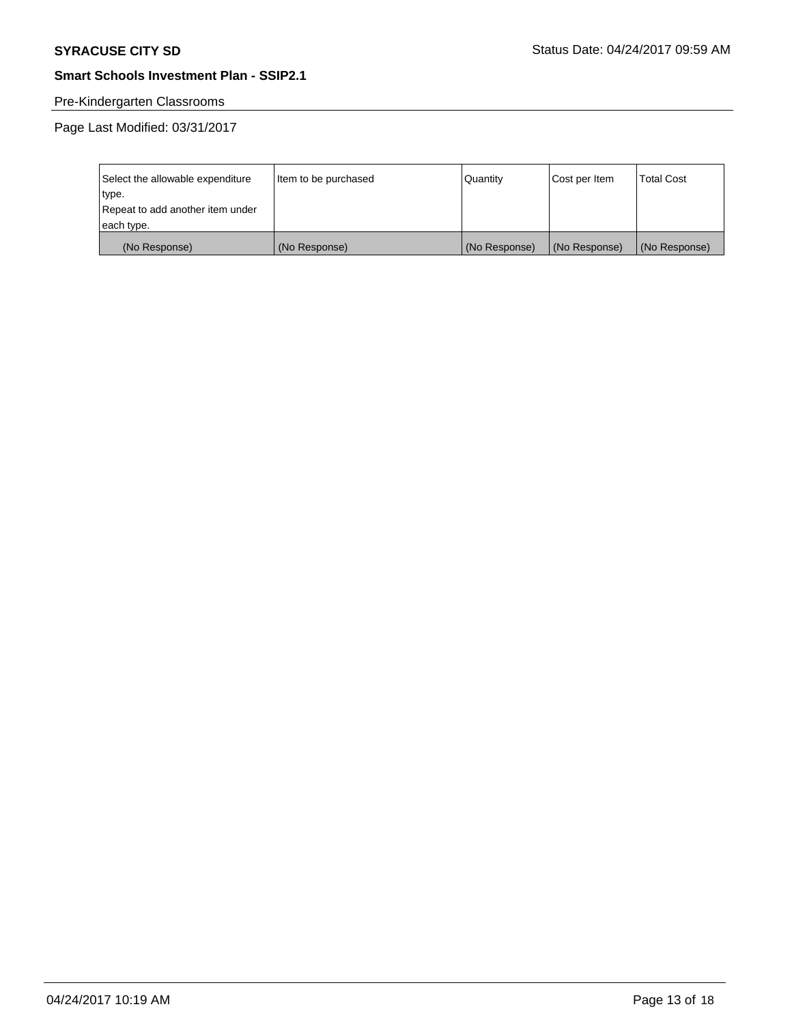# Pre-Kindergarten Classrooms

Page Last Modified: 03/31/2017

| Select the allowable expenditure | Item to be purchased | Quantity      | Cost per Item | <b>Total Cost</b> |
|----------------------------------|----------------------|---------------|---------------|-------------------|
| type.                            |                      |               |               |                   |
| Repeat to add another item under |                      |               |               |                   |
| each type.                       |                      |               |               |                   |
| (No Response)                    | (No Response)        | (No Response) | (No Response) | (No Response)     |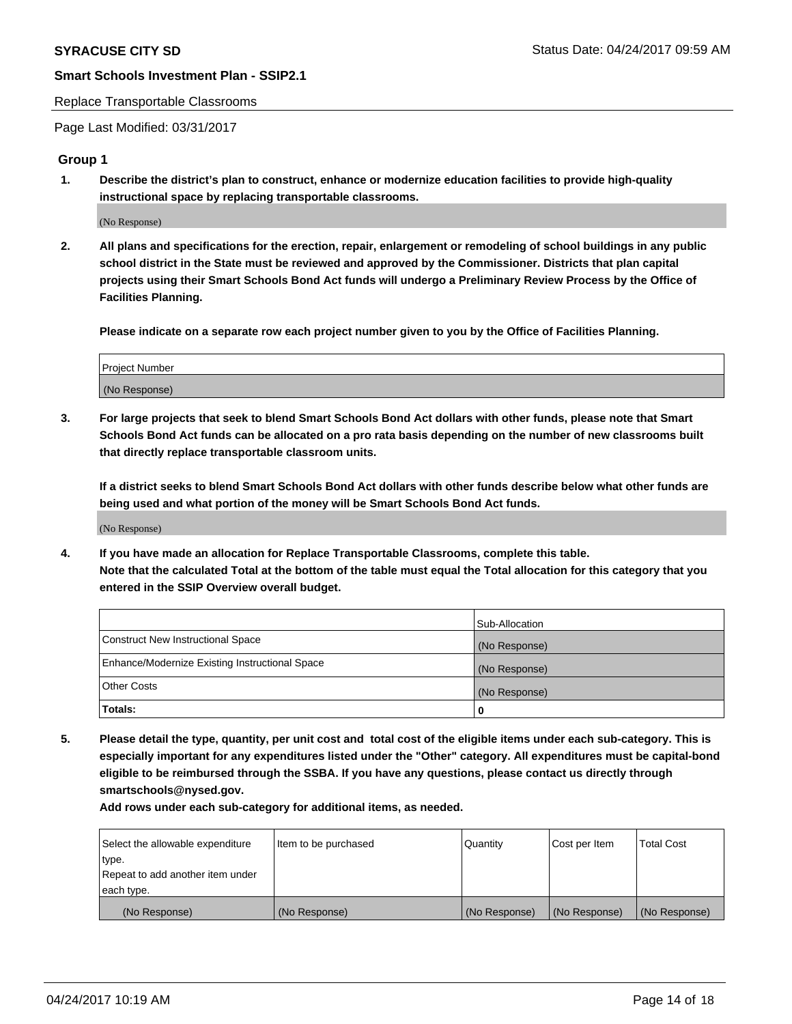#### Replace Transportable Classrooms

Page Last Modified: 03/31/2017

### **Group 1**

**1. Describe the district's plan to construct, enhance or modernize education facilities to provide high-quality instructional space by replacing transportable classrooms.**

(No Response)

**2. All plans and specifications for the erection, repair, enlargement or remodeling of school buildings in any public school district in the State must be reviewed and approved by the Commissioner. Districts that plan capital projects using their Smart Schools Bond Act funds will undergo a Preliminary Review Process by the Office of Facilities Planning.**

**Please indicate on a separate row each project number given to you by the Office of Facilities Planning.**

| Project Number |  |
|----------------|--|
| (No Response)  |  |

**3. For large projects that seek to blend Smart Schools Bond Act dollars with other funds, please note that Smart Schools Bond Act funds can be allocated on a pro rata basis depending on the number of new classrooms built that directly replace transportable classroom units.**

**If a district seeks to blend Smart Schools Bond Act dollars with other funds describe below what other funds are being used and what portion of the money will be Smart Schools Bond Act funds.**

(No Response)

**4. If you have made an allocation for Replace Transportable Classrooms, complete this table. Note that the calculated Total at the bottom of the table must equal the Total allocation for this category that you entered in the SSIP Overview overall budget.**

|                                                | Sub-Allocation |
|------------------------------------------------|----------------|
| Construct New Instructional Space              | (No Response)  |
| Enhance/Modernize Existing Instructional Space | (No Response)  |
| Other Costs                                    | (No Response)  |
| Totals:                                        | $\Omega$       |

**5. Please detail the type, quantity, per unit cost and total cost of the eligible items under each sub-category. This is especially important for any expenditures listed under the "Other" category. All expenditures must be capital-bond eligible to be reimbursed through the SSBA. If you have any questions, please contact us directly through smartschools@nysed.gov.**

| Select the allowable expenditure | Item to be purchased | Quantity      | Cost per Item | <b>Total Cost</b> |
|----------------------------------|----------------------|---------------|---------------|-------------------|
| type.                            |                      |               |               |                   |
| Repeat to add another item under |                      |               |               |                   |
| each type.                       |                      |               |               |                   |
| (No Response)                    | (No Response)        | (No Response) | (No Response) | (No Response)     |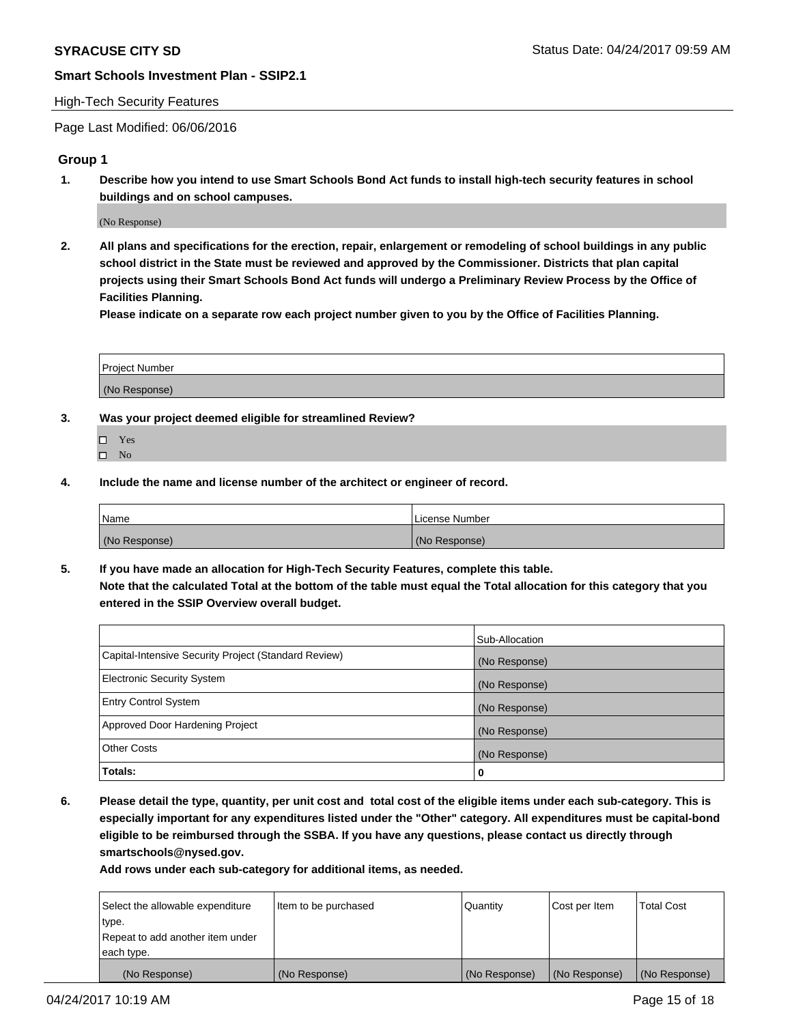#### High-Tech Security Features

Page Last Modified: 06/06/2016

### **Group 1**

**1. Describe how you intend to use Smart Schools Bond Act funds to install high-tech security features in school buildings and on school campuses.**

(No Response)

**2. All plans and specifications for the erection, repair, enlargement or remodeling of school buildings in any public school district in the State must be reviewed and approved by the Commissioner. Districts that plan capital projects using their Smart Schools Bond Act funds will undergo a Preliminary Review Process by the Office of Facilities Planning.** 

**Please indicate on a separate row each project number given to you by the Office of Facilities Planning.**

| Project Number |  |
|----------------|--|
|                |  |
| (No Response)  |  |

- **3. Was your project deemed eligible for streamlined Review?**
	- Yes  $\hfill \square$  No
- **4. Include the name and license number of the architect or engineer of record.**

| Name          | License Number |
|---------------|----------------|
| (No Response) | (No Response)  |

**5. If you have made an allocation for High-Tech Security Features, complete this table. Note that the calculated Total at the bottom of the table must equal the Total allocation for this category that you entered in the SSIP Overview overall budget.**

|                                                      | Sub-Allocation |
|------------------------------------------------------|----------------|
| Capital-Intensive Security Project (Standard Review) | (No Response)  |
| <b>Electronic Security System</b>                    | (No Response)  |
| <b>Entry Control System</b>                          | (No Response)  |
| Approved Door Hardening Project                      | (No Response)  |
| <b>Other Costs</b>                                   | (No Response)  |
| Totals:                                              | 0              |

**6. Please detail the type, quantity, per unit cost and total cost of the eligible items under each sub-category. This is especially important for any expenditures listed under the "Other" category. All expenditures must be capital-bond eligible to be reimbursed through the SSBA. If you have any questions, please contact us directly through smartschools@nysed.gov.**

| Select the allowable expenditure | Item to be purchased | Quantity      | Cost per Item | <b>Total Cost</b> |
|----------------------------------|----------------------|---------------|---------------|-------------------|
| type.                            |                      |               |               |                   |
| Repeat to add another item under |                      |               |               |                   |
| each type.                       |                      |               |               |                   |
| (No Response)                    | (No Response)        | (No Response) | (No Response) | (No Response)     |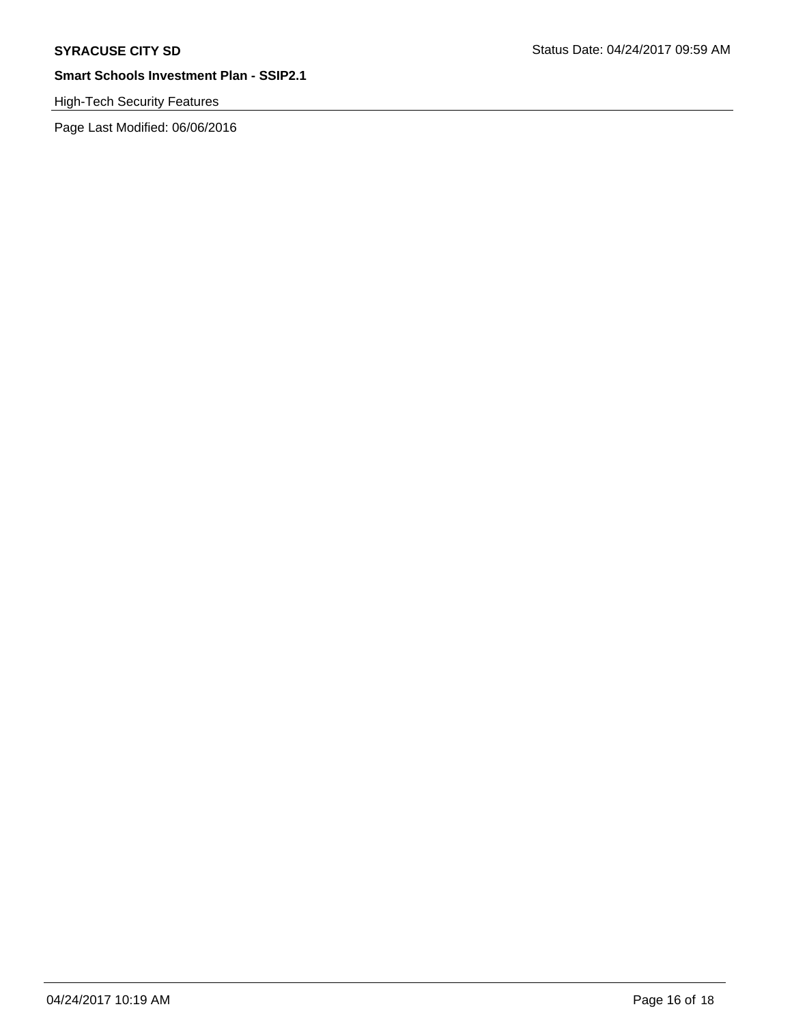# High-Tech Security Features

Page Last Modified: 06/06/2016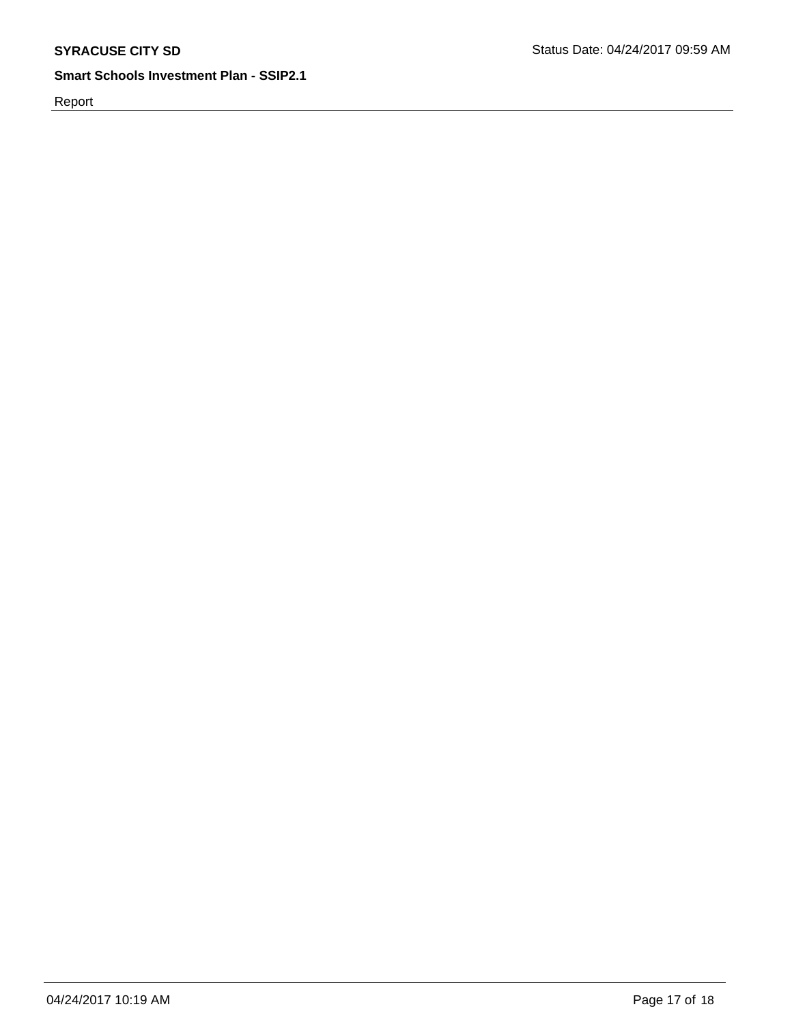Report